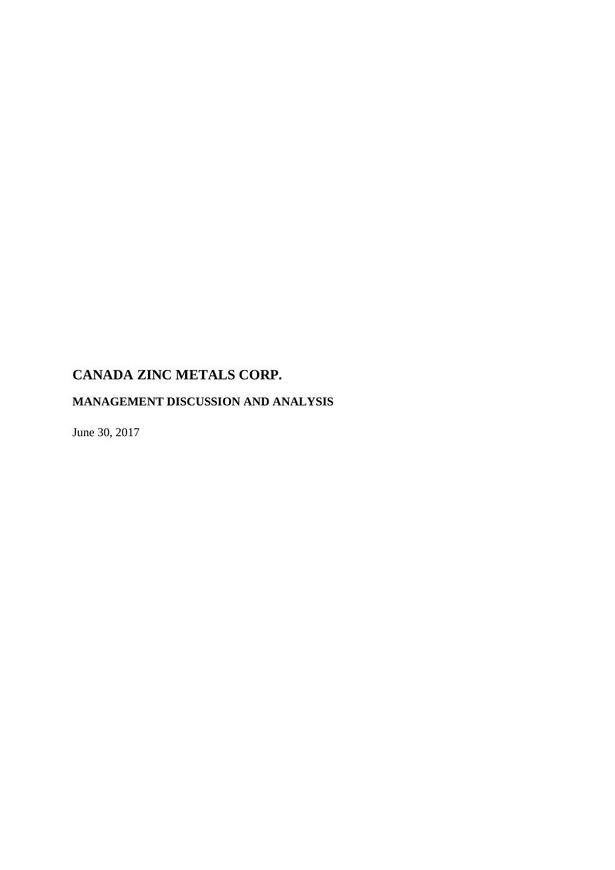# **MANAGEMENT DISCUSSION AND ANALYSIS**

June 30, 2017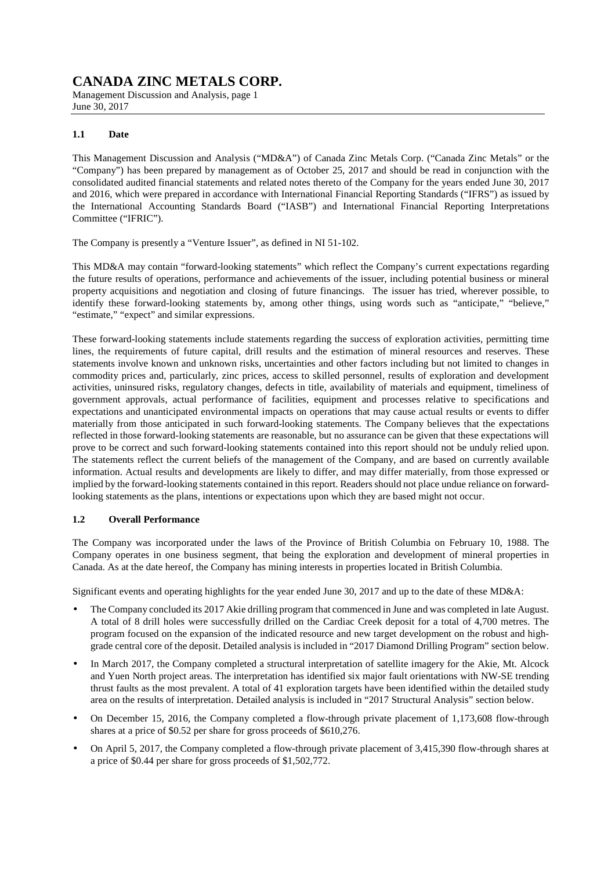Management Discussion and Analysis, page 1 June 30, 2017

### **1.1 Date**

This Management Discussion and Analysis ("MD&A") of Canada Zinc Metals Corp. ("Canada Zinc Metals" or the "Company") has been prepared by management as of October 25, 2017 and should be read in conjunction with the consolidated audited financial statements and related notes thereto of the Company for the years ended June 30, 2017 and 2016, which were prepared in accordance with International Financial Reporting Standards ("IFRS") as issued by the International Accounting Standards Board ("IASB") and International Financial Reporting Interpretations Committee ("IFRIC").

The Company is presently a "Venture Issuer", as defined in NI 51-102.

This MD&A may contain "forward-looking statements" which reflect the Company's current expectations regarding the future results of operations, performance and achievements of the issuer, including potential business or mineral property acquisitions and negotiation and closing of future financings. The issuer has tried, wherever possible, to identify these forward-looking statements by, among other things, using words such as "anticipate," "believe," "estimate," "expect" and similar expressions.

These forward-looking statements include statements regarding the success of exploration activities, permitting time lines, the requirements of future capital, drill results and the estimation of mineral resources and reserves. These statements involve known and unknown risks, uncertainties and other factors including but not limited to changes in commodity prices and, particularly, zinc prices, access to skilled personnel, results of exploration and development activities, uninsured risks, regulatory changes, defects in title, availability of materials and equipment, timeliness of government approvals, actual performance of facilities, equipment and processes relative to specifications and expectations and unanticipated environmental impacts on operations that may cause actual results or events to differ materially from those anticipated in such forward-looking statements. The Company believes that the expectations reflected in those forward-looking statements are reasonable, but no assurance can be given that these expectations will prove to be correct and such forward-looking statements contained into this report should not be unduly relied upon. The statements reflect the current beliefs of the management of the Company, and are based on currently available information. Actual results and developments are likely to differ, and may differ materially, from those expressed or implied by the forward-looking statements contained in this report. Readers should not place undue reliance on forwardlooking statements as the plans, intentions or expectations upon which they are based might not occur.

### **1.2 Overall Performance**

The Company was incorporated under the laws of the Province of British Columbia on February 10, 1988. The Company operates in one business segment, that being the exploration and development of mineral properties in Canada. As at the date hereof, the Company has mining interests in properties located in British Columbia.

Significant events and operating highlights for the year ended June 30, 2017 and up to the date of these MD&A:

- The Company concluded its 2017 Akie drilling program that commenced in June and was completed in late August. A total of 8 drill holes were successfully drilled on the Cardiac Creek deposit for a total of 4,700 metres. The program focused on the expansion of the indicated resource and new target development on the robust and highgrade central core of the deposit. Detailed analysis is included in "2017 Diamond Drilling Program" section below.
- In March 2017, the Company completed a structural interpretation of satellite imagery for the Akie, Mt. Alcock and Yuen North project areas. The interpretation has identified six major fault orientations with NW-SE trending thrust faults as the most prevalent. A total of 41 exploration targets have been identified within the detailed study area on the results of interpretation. Detailed analysis is included in "2017 Structural Analysis" section below.
- On December 15, 2016, the Company completed a flow-through private placement of 1,173,608 flow-through shares at a price of \$0.52 per share for gross proceeds of \$610,276.
- On April 5, 2017, the Company completed a flow-through private placement of 3,415,390 flow-through shares at a price of \$0.44 per share for gross proceeds of \$1,502,772.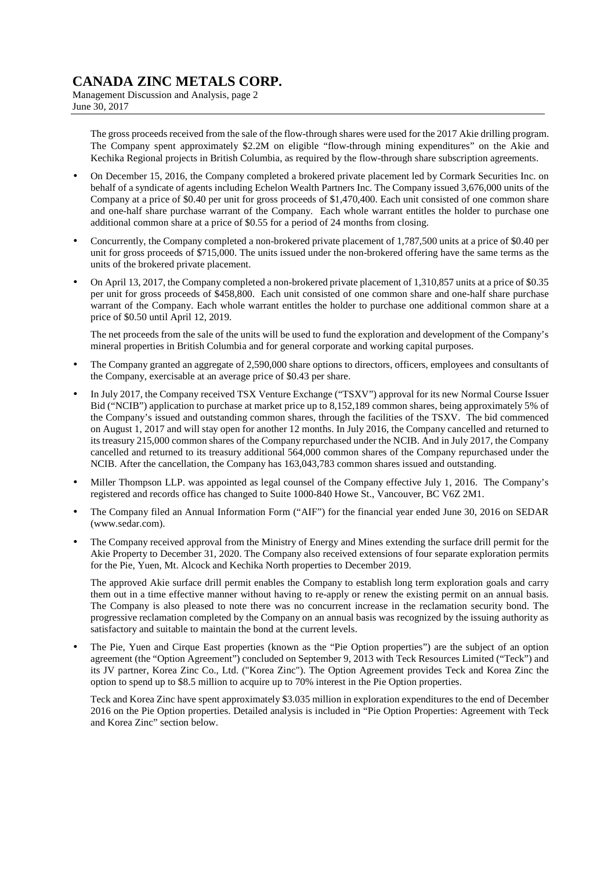Management Discussion and Analysis, page 2 June 30, 2017

The gross proceeds received from the sale of the flow-through shares were used for the 2017 Akie drilling program. The Company spent approximately \$2.2M on eligible "flow-through mining expenditures" on the Akie and Kechika Regional projects in British Columbia, as required by the flow-through share subscription agreements.

- On December 15, 2016, the Company completed a brokered private placement led by Cormark Securities Inc. on behalf of a syndicate of agents including Echelon Wealth Partners Inc. The Company issued 3,676,000 units of the Company at a price of \$0.40 per unit for gross proceeds of \$1,470,400. Each unit consisted of one common share and one-half share purchase warrant of the Company. Each whole warrant entitles the holder to purchase one additional common share at a price of \$0.55 for a period of 24 months from closing.
- Concurrently, the Company completed a non-brokered private placement of 1,787,500 units at a price of \$0.40 per unit for gross proceeds of \$715,000. The units issued under the non-brokered offering have the same terms as the units of the brokered private placement.
- On April 13, 2017, the Company completed a non-brokered private placement of 1,310,857 units at a price of \$0.35 per unit for gross proceeds of \$458,800. Each unit consisted of one common share and one-half share purchase warrant of the Company. Each whole warrant entitles the holder to purchase one additional common share at a price of \$0.50 until April 12, 2019.

The net proceeds from the sale of the units will be used to fund the exploration and development of the Company's mineral properties in British Columbia and for general corporate and working capital purposes.

- The Company granted an aggregate of 2,590,000 share options to directors, officers, employees and consultants of the Company, exercisable at an average price of \$0.43 per share.
- In July 2017, the Company received TSX Venture Exchange ("TSXV") approval for its new Normal Course Issuer Bid ("NCIB") application to purchase at market price up to 8,152,189 common shares, being approximately 5% of the Company's issued and outstanding common shares, through the facilities of the TSXV. The bid commenced on August 1, 2017 and will stay open for another 12 months. In July 2016, the Company cancelled and returned to its treasury 215,000 common shares of the Company repurchased under the NCIB. And in July 2017, the Company cancelled and returned to its treasury additional 564,000 common shares of the Company repurchased under the NCIB. After the cancellation, the Company has 163,043,783 common shares issued and outstanding.
- Miller Thompson LLP. was appointed as legal counsel of the Company effective July 1, 2016. The Company's registered and records office has changed to Suite 1000-840 Howe St., Vancouver, BC V6Z 2M1.
- The Company filed an Annual Information Form ("AIF") for the financial year ended June 30, 2016 on SEDAR (www.sedar.com).
- The Company received approval from the Ministry of Energy and Mines extending the surface drill permit for the Akie Property to December 31, 2020. The Company also received extensions of four separate exploration permits for the Pie, Yuen, Mt. Alcock and Kechika North properties to December 2019.

The approved Akie surface drill permit enables the Company to establish long term exploration goals and carry them out in a time effective manner without having to re-apply or renew the existing permit on an annual basis. The Company is also pleased to note there was no concurrent increase in the reclamation security bond. The progressive reclamation completed by the Company on an annual basis was recognized by the issuing authority as satisfactory and suitable to maintain the bond at the current levels.

• The Pie, Yuen and Cirque East properties (known as the "Pie Option properties") are the subject of an option agreement (the "Option Agreement") concluded on September 9, 2013 with Teck Resources Limited ("Teck") and its JV partner, Korea Zinc Co., Ltd. ("Korea Zinc"). The Option Agreement provides Teck and Korea Zinc the option to spend up to \$8.5 million to acquire up to 70% interest in the Pie Option properties.

Teck and Korea Zinc have spent approximately \$3.035 million in exploration expenditures to the end of December 2016 on the Pie Option properties. Detailed analysis is included in "Pie Option Properties: Agreement with Teck and Korea Zinc" section below.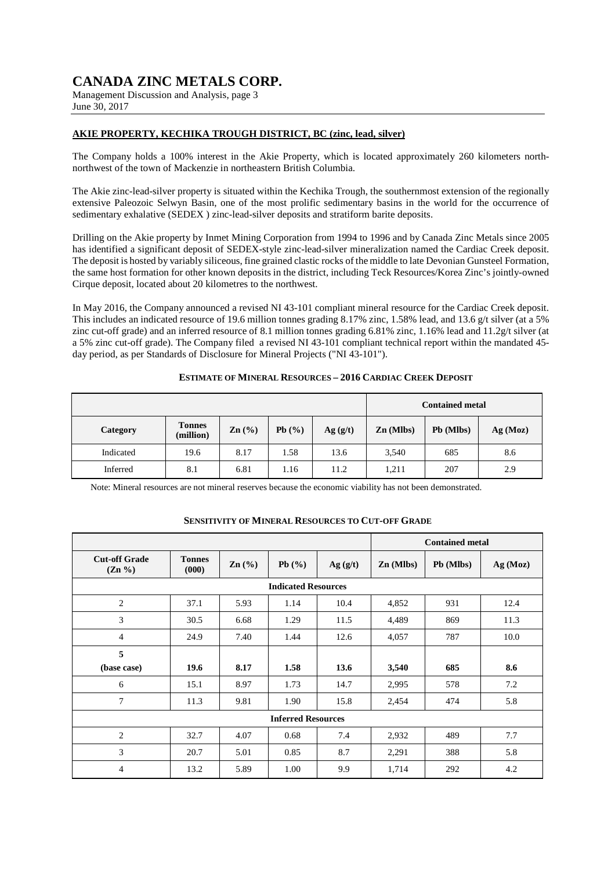Management Discussion and Analysis, page 3 June 30, 2017

### **AKIE PROPERTY, KECHIKA TROUGH DISTRICT, BC (zinc, lead, silver)**

The Company holds a 100% interest in the Akie Property, which is located approximately 260 kilometers northnorthwest of the town of Mackenzie in northeastern British Columbia.

The Akie zinc-lead-silver property is situated within the Kechika Trough, the southernmost extension of the regionally extensive Paleozoic Selwyn Basin, one of the most prolific sedimentary basins in the world for the occurrence of sedimentary exhalative (SEDEX ) zinc-lead-silver deposits and stratiform barite deposits.

Drilling on the Akie property by Inmet Mining Corporation from 1994 to 1996 and by Canada Zinc Metals since 2005 has identified a significant deposit of SEDEX-style zinc-lead-silver mineralization named the Cardiac Creek deposit. The deposit is hosted by variably siliceous, fine grained clastic rocks of the middle to late Devonian Gunsteel Formation, the same host formation for other known deposits in the district, including Teck Resources/Korea Zinc's jointly-owned Cirque deposit, located about 20 kilometres to the northwest.

In May 2016, the Company announced a revised NI 43-101 compliant mineral resource for the Cardiac Creek deposit. This includes an indicated resource of 19.6 million tonnes grading 8.17% zinc, 1.58% lead, and 13.6 g/t silver (at a 5% zinc cut-off grade) and an inferred resource of 8.1 million tonnes grading 6.81% zinc, 1.16% lead and 11.2g/t silver (at a 5% zinc cut-off grade). The Company filed a revised NI 43-101 compliant technical report within the mandated 45 day period, as per Standards of Disclosure for Mineral Projects ("NI 43-101").

|           |                            |                   |       |         |             | <b>Contained metal</b> |          |
|-----------|----------------------------|-------------------|-------|---------|-------------|------------------------|----------|
| Category  | <b>Tonnes</b><br>(million) | $\mathbf{Zn}$ (%) | Pb(%) | Ag(g/t) | $Zn$ (Mlbs) | Pb (Mlbs)              | Ag (Moz) |
| Indicated | 19.6                       | 8.17              | 1.58  | 13.6    | 3,540       | 685                    | 8.6      |
| Inferred  | 8.1                        | 6.81              | 1.16  | 11.2    | 1,211       | 207                    | 2.9      |

#### **ESTIMATE OF MINERAL RESOURCES – 2016 CARDIAC CREEK DEPOSIT**

Note: Mineral resources are not mineral reserves because the economic viability has not been demonstrated.

### **SENSITIVITY OF MINERAL RESOURCES TO CUT-OFF GRADE**

|                                   |                        |                   |                            |         |             | <b>Contained metal</b> |          |
|-----------------------------------|------------------------|-------------------|----------------------------|---------|-------------|------------------------|----------|
| <b>Cut-off Grade</b><br>$(Zn \%)$ | <b>Tonnes</b><br>(000) | $\mathbf{Zn}$ (%) | Pb(%)                      | Ag(g/t) | $Zn$ (Mlbs) | Pb (Mlbs)              | Ag (Moz) |
|                                   |                        |                   | <b>Indicated Resources</b> |         |             |                        |          |
| 2                                 | 37.1                   | 5.93              | 1.14                       | 10.4    | 4,852       | 931                    | 12.4     |
| 3                                 | 30.5                   | 6.68              | 1.29                       | 11.5    | 4,489       | 869                    | 11.3     |
| $\overline{4}$                    | 24.9                   | 7.40              | 1.44                       | 12.6    | 4,057       | 787                    | 10.0     |
| 5                                 |                        |                   |                            |         |             |                        |          |
| (base case)                       | 19.6                   | 8.17              | 1.58                       | 13.6    | 3,540       | 685                    | 8.6      |
| 6                                 | 15.1                   | 8.97              | 1.73                       | 14.7    | 2,995       | 578                    | 7.2      |
| $\tau$                            | 11.3                   | 9.81              | 1.90                       | 15.8    | 2,454       | 474                    | 5.8      |
|                                   |                        |                   | <b>Inferred Resources</b>  |         |             |                        |          |
| 2                                 | 32.7                   | 4.07              | 0.68                       | 7.4     | 2,932       | 489                    | 7.7      |
| 3                                 | 20.7                   | 5.01              | 0.85                       | 8.7     | 2,291       | 388                    | 5.8      |
| $\overline{4}$                    | 13.2                   | 5.89              | 1.00                       | 9.9     | 1,714       | 292                    | 4.2      |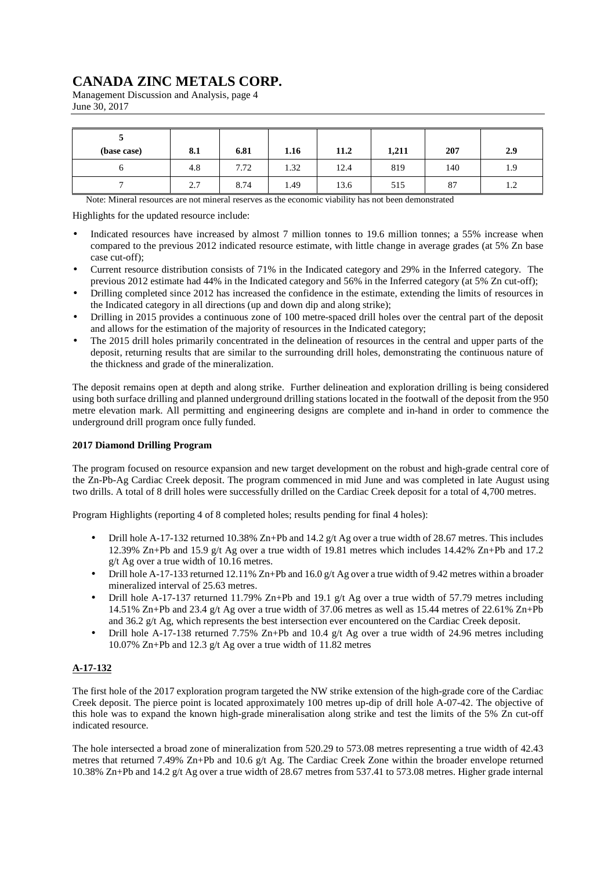Management Discussion and Analysis, page 4 June 30, 2017

| (base case) | 8.1 | 6.81 | 1.16 | 11.2 | 1,211 | 207 | 2.9           |
|-------------|-----|------|------|------|-------|-----|---------------|
|             | 4.8 | 7.72 | 1.32 | 12.4 | 819   | 140 | 1.9           |
|             | 2.7 | 8.74 | 1.49 | 13.6 | 515   | 87  | $\eta$<br>1.4 |

Note: Mineral resources are not mineral reserves as the economic viability has not been demonstrated

Highlights for the updated resource include:

- Indicated resources have increased by almost 7 million tonnes to 19.6 million tonnes; a 55% increase when compared to the previous 2012 indicated resource estimate, with little change in average grades (at 5% Zn base case cut-off);
- Current resource distribution consists of 71% in the Indicated category and 29% in the Inferred category. The previous 2012 estimate had 44% in the Indicated category and 56% in the Inferred category (at 5% Zn cut-off);
- Drilling completed since 2012 has increased the confidence in the estimate, extending the limits of resources in the Indicated category in all directions (up and down dip and along strike);
- Drilling in 2015 provides a continuous zone of 100 metre-spaced drill holes over the central part of the deposit and allows for the estimation of the majority of resources in the Indicated category;
- The 2015 drill holes primarily concentrated in the delineation of resources in the central and upper parts of the deposit, returning results that are similar to the surrounding drill holes, demonstrating the continuous nature of the thickness and grade of the mineralization.

The deposit remains open at depth and along strike. Further delineation and exploration drilling is being considered using both surface drilling and planned underground drilling stations located in the footwall of the deposit from the 950 metre elevation mark. All permitting and engineering designs are complete and in-hand in order to commence the underground drill program once fully funded.

### **2017 Diamond Drilling Program**

The program focused on resource expansion and new target development on the robust and high-grade central core of the Zn-Pb-Ag Cardiac Creek deposit. The program commenced in mid June and was completed in late August using two drills. A total of 8 drill holes were successfully drilled on the Cardiac Creek deposit for a total of 4,700 metres.

Program Highlights (reporting 4 of 8 completed holes; results pending for final 4 holes):

- Drill hole A-17-132 returned 10.38% Zn+Pb and 14.2 g/t Ag over a true width of 28.67 metres. This includes 12.39% Zn+Pb and 15.9 g/t Ag over a true width of 19.81 metres which includes 14.42% Zn+Pb and 17.2 g/t Ag over a true width of 10.16 metres.
- Drill hole A-17-133 returned 12.11% Zn+Pb and 16.0 g/t Ag over a true width of 9.42 metres within a broader mineralized interval of 25.63 metres.
- Drill hole A-17-137 returned 11.79% Zn+Pb and 19.1 g/t Ag over a true width of 57.79 metres including 14.51% Zn+Pb and 23.4 g/t Ag over a true width of 37.06 metres as well as 15.44 metres of 22.61% Zn+Pb and 36.2 g/t Ag, which represents the best intersection ever encountered on the Cardiac Creek deposit.
- Drill hole A-17-138 returned 7.75% Zn+Pb and 10.4 g/t Ag over a true width of 24.96 metres including 10.07% Zn+Pb and 12.3 g/t Ag over a true width of 11.82 metres

### **A-17-132**

The first hole of the 2017 exploration program targeted the NW strike extension of the high-grade core of the Cardiac Creek deposit. The pierce point is located approximately 100 metres up-dip of drill hole A-07-42. The objective of this hole was to expand the known high-grade mineralisation along strike and test the limits of the 5% Zn cut-off indicated resource.

The hole intersected a broad zone of mineralization from 520.29 to 573.08 metres representing a true width of 42.43 metres that returned 7.49% Zn+Pb and 10.6 g/t Ag. The Cardiac Creek Zone within the broader envelope returned 10.38% Zn+Pb and 14.2 g/t Ag over a true width of 28.67 metres from 537.41 to 573.08 metres. Higher grade internal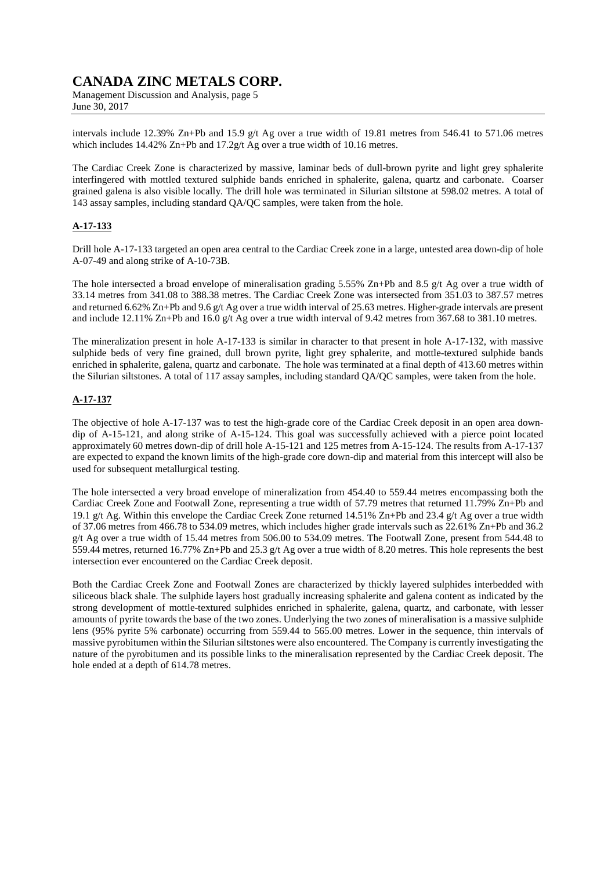Management Discussion and Analysis, page 5 June 30, 2017

intervals include 12.39% Zn+Pb and 15.9 g/t Ag over a true width of 19.81 metres from 546.41 to 571.06 metres which includes 14.42% Zn+Pb and 17.2g/t Ag over a true width of 10.16 metres.

The Cardiac Creek Zone is characterized by massive, laminar beds of dull-brown pyrite and light grey sphalerite interfingered with mottled textured sulphide bands enriched in sphalerite, galena, quartz and carbonate. Coarser grained galena is also visible locally. The drill hole was terminated in Silurian siltstone at 598.02 metres. A total of 143 assay samples, including standard QA/QC samples, were taken from the hole.

### **A-17-133**

Drill hole A-17-133 targeted an open area central to the Cardiac Creek zone in a large, untested area down-dip of hole A-07-49 and along strike of A-10-73B.

The hole intersected a broad envelope of mineralisation grading 5.55% Zn+Pb and 8.5 g/t Ag over a true width of 33.14 metres from 341.08 to 388.38 metres. The Cardiac Creek Zone was intersected from 351.03 to 387.57 metres and returned 6.62% Zn+Pb and 9.6 g/t Ag over a true width interval of 25.63 metres. Higher-grade intervals are present and include 12.11% Zn+Pb and 16.0 g/t Ag over a true width interval of 9.42 metres from 367.68 to 381.10 metres.

The mineralization present in hole A-17-133 is similar in character to that present in hole A-17-132, with massive sulphide beds of very fine grained, dull brown pyrite, light grey sphalerite, and mottle-textured sulphide bands enriched in sphalerite, galena, quartz and carbonate. The hole was terminated at a final depth of 413.60 metres within the Silurian siltstones. A total of 117 assay samples, including standard QA/QC samples, were taken from the hole.

### **A-17-137**

The objective of hole A-17-137 was to test the high-grade core of the Cardiac Creek deposit in an open area downdip of A-15-121, and along strike of A-15-124. This goal was successfully achieved with a pierce point located approximately 60 metres down-dip of drill hole A-15-121 and 125 metres from A-15-124. The results from A-17-137 are expected to expand the known limits of the high-grade core down-dip and material from this intercept will also be used for subsequent metallurgical testing.

The hole intersected a very broad envelope of mineralization from 454.40 to 559.44 metres encompassing both the Cardiac Creek Zone and Footwall Zone, representing a true width of 57.79 metres that returned 11.79% Zn+Pb and 19.1 g/t Ag. Within this envelope the Cardiac Creek Zone returned 14.51% Zn+Pb and 23.4 g/t Ag over a true width of 37.06 metres from 466.78 to 534.09 metres, which includes higher grade intervals such as 22.61% Zn+Pb and 36.2 g/t Ag over a true width of 15.44 metres from 506.00 to 534.09 metres. The Footwall Zone, present from 544.48 to 559.44 metres, returned 16.77% Zn+Pb and 25.3 g/t Ag over a true width of 8.20 metres. This hole represents the best intersection ever encountered on the Cardiac Creek deposit.

Both the Cardiac Creek Zone and Footwall Zones are characterized by thickly layered sulphides interbedded with siliceous black shale. The sulphide layers host gradually increasing sphalerite and galena content as indicated by the strong development of mottle-textured sulphides enriched in sphalerite, galena, quartz, and carbonate, with lesser amounts of pyrite towards the base of the two zones. Underlying the two zones of mineralisation is a massive sulphide lens (95% pyrite 5% carbonate) occurring from 559.44 to 565.00 metres. Lower in the sequence, thin intervals of massive pyrobitumen within the Silurian siltstones were also encountered. The Company is currently investigating the nature of the pyrobitumen and its possible links to the mineralisation represented by the Cardiac Creek deposit. The hole ended at a depth of 614.78 metres.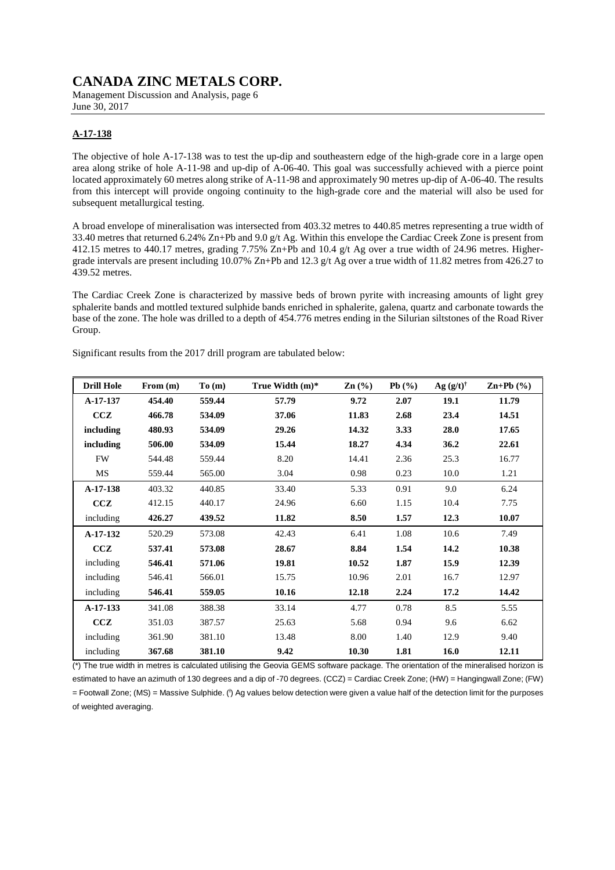Management Discussion and Analysis, page 6 June 30, 2017

## **A-17-138**

The objective of hole A-17-138 was to test the up-dip and southeastern edge of the high-grade core in a large open area along strike of hole A-11-98 and up-dip of A-06-40. This goal was successfully achieved with a pierce point located approximately 60 metres along strike of A-11-98 and approximately 90 metres up-dip of A-06-40. The results from this intercept will provide ongoing continuity to the high-grade core and the material will also be used for subsequent metallurgical testing.

A broad envelope of mineralisation was intersected from 403.32 metres to 440.85 metres representing a true width of 33.40 metres that returned 6.24% Zn+Pb and 9.0 g/t Ag. Within this envelope the Cardiac Creek Zone is present from 412.15 metres to 440.17 metres, grading 7.75% Zn+Pb and 10.4 g/t Ag over a true width of 24.96 metres. Highergrade intervals are present including 10.07% Zn+Pb and 12.3 g/t Ag over a true width of 11.82 metres from 426.27 to 439.52 metres.

The Cardiac Creek Zone is characterized by massive beds of brown pyrite with increasing amounts of light grey sphalerite bands and mottled textured sulphide bands enriched in sphalerite, galena, quartz and carbonate towards the base of the zone. The hole was drilled to a depth of 454.776 metres ending in the Silurian siltstones of the Road River Group.

Significant results from the 2017 drill program are tabulated below:

| <b>Drill Hole</b> | From $(m)$ | To(m)  | True Width $(m)^*$ | $\mathbf{Zn}$ (%) | Pb(%) | $Ag (g/t)^{\dagger}$ | $\mathbf{Zn+Pb}$ (%) |
|-------------------|------------|--------|--------------------|-------------------|-------|----------------------|----------------------|
| A-17-137          | 454.40     | 559.44 | 57.79              | 9.72              | 2.07  | 19.1                 | 11.79                |
| CCZ               | 466.78     | 534.09 | 37.06              | 11.83             | 2.68  | 23.4                 | 14.51                |
| including         | 480.93     | 534.09 | 29.26              | 14.32             | 3.33  | 28.0                 | 17.65                |
| including         | 506.00     | 534.09 | 15.44              | 18.27             | 4.34  | 36.2                 | 22.61                |
| <b>FW</b>         | 544.48     | 559.44 | 8.20               | 14.41             | 2.36  | 25.3                 | 16.77                |
| MS                | 559.44     | 565.00 | 3.04               | 0.98              | 0.23  | 10.0                 | 1.21                 |
| A-17-138          | 403.32     | 440.85 | 33.40              | 5.33              | 0.91  | 9.0                  | 6.24                 |
| CCZ               | 412.15     | 440.17 | 24.96              | 6.60              | 1.15  | 10.4                 | 7.75                 |
| including         | 426.27     | 439.52 | 11.82              | 8.50              | 1.57  | 12.3                 | 10.07                |
| $A-17-132$        | 520.29     | 573.08 | 42.43              | 6.41              | 1.08  | 10.6                 | 7.49                 |
| CCZ               | 537.41     | 573.08 | 28.67              | 8.84              | 1.54  | 14.2                 | 10.38                |
| including         | 546.41     | 571.06 | 19.81              | 10.52             | 1.87  | 15.9                 | 12.39                |
| including         | 546.41     | 566.01 | 15.75              | 10.96             | 2.01  | 16.7                 | 12.97                |
| including         | 546.41     | 559.05 | 10.16              | 12.18             | 2.24  | 17.2                 | 14.42                |
| $A-17-133$        | 341.08     | 388.38 | 33.14              | 4.77              | 0.78  | 8.5                  | 5.55                 |
| ccz               | 351.03     | 387.57 | 25.63              | 5.68              | 0.94  | 9.6                  | 6.62                 |
| including         | 361.90     | 381.10 | 13.48              | 8.00              | 1.40  | 12.9                 | 9.40                 |
| including         | 367.68     | 381.10 | 9.42               | 10.30             | 1.81  | 16.0                 | 12.11                |

(\*) The true width in metres is calculated utilising the Geovia GEMS software package. The orientation of the mineralised horizon is estimated to have an azimuth of 130 degrees and a dip of -70 degrees. (CCZ) = Cardiac Creek Zone; (HW) = Hangingwall Zone; (FW) = Footwall Zone; (MS) = Massive Sulphide. (<sup>†</sup>) Ag values below detection were given a value half of the detection limit for the purposes of weighted averaging.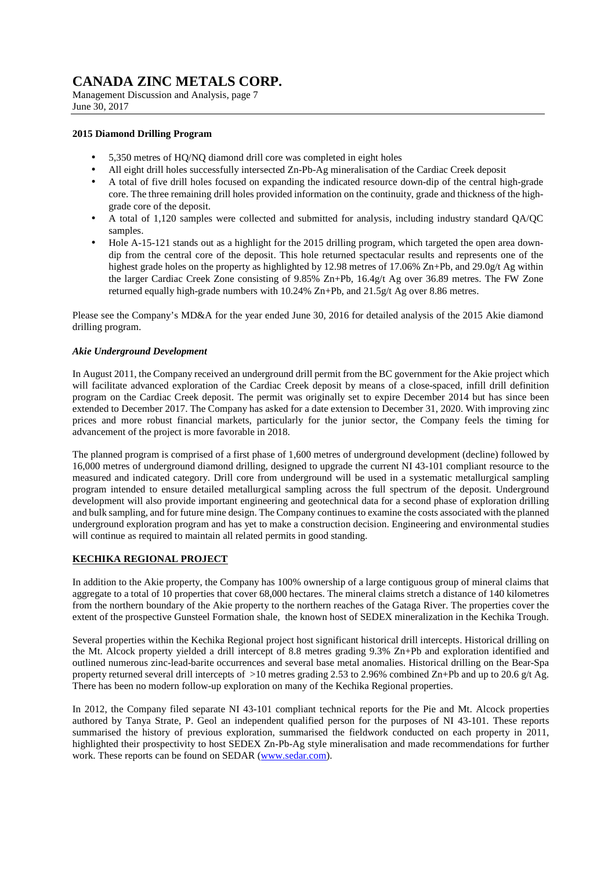Management Discussion and Analysis, page 7 June 30, 2017

### **2015 Diamond Drilling Program**

- 5,350 metres of HQ/NQ diamond drill core was completed in eight holes
- All eight drill holes successfully intersected Zn-Pb-Ag mineralisation of the Cardiac Creek deposit
- A total of five drill holes focused on expanding the indicated resource down-dip of the central high-grade core. The three remaining drill holes provided information on the continuity, grade and thickness of the highgrade core of the deposit.
- A total of 1,120 samples were collected and submitted for analysis, including industry standard QA/QC samples.
- Hole A-15-121 stands out as a highlight for the 2015 drilling program, which targeted the open area downdip from the central core of the deposit. This hole returned spectacular results and represents one of the highest grade holes on the property as highlighted by 12.98 metres of 17.06% Zn+Pb, and 29.0g/t Ag within the larger Cardiac Creek Zone consisting of 9.85% Zn+Pb, 16.4g/t Ag over 36.89 metres. The FW Zone returned equally high-grade numbers with 10.24% Zn+Pb, and 21.5g/t Ag over 8.86 metres.

Please see the Company's MD&A for the year ended June 30, 2016 for detailed analysis of the 2015 Akie diamond drilling program.

### *Akie Underground Development*

In August 2011, the Company received an underground drill permit from the BC government for the Akie project which will facilitate advanced exploration of the Cardiac Creek deposit by means of a close-spaced, infill drill definition program on the Cardiac Creek deposit. The permit was originally set to expire December 2014 but has since been extended to December 2017. The Company has asked for a date extension to December 31, 2020. With improving zinc prices and more robust financial markets, particularly for the junior sector, the Company feels the timing for advancement of the project is more favorable in 2018.

The planned program is comprised of a first phase of 1,600 metres of underground development (decline) followed by 16,000 metres of underground diamond drilling, designed to upgrade the current NI 43-101 compliant resource to the measured and indicated category. Drill core from underground will be used in a systematic metallurgical sampling program intended to ensure detailed metallurgical sampling across the full spectrum of the deposit. Underground development will also provide important engineering and geotechnical data for a second phase of exploration drilling and bulk sampling, and for future mine design. The Company continues to examine the costs associated with the planned underground exploration program and has yet to make a construction decision. Engineering and environmental studies will continue as required to maintain all related permits in good standing.

### **KECHIKA REGIONAL PROJECT**

In addition to the Akie property, the Company has 100% ownership of a large contiguous group of mineral claims that aggregate to a total of 10 properties that cover 68,000 hectares. The mineral claims stretch a distance of 140 kilometres from the northern boundary of the Akie property to the northern reaches of the Gataga River. The properties cover the extent of the prospective Gunsteel Formation shale, the known host of SEDEX mineralization in the Kechika Trough.

Several properties within the Kechika Regional project host significant historical drill intercepts. Historical drilling on the Mt. Alcock property yielded a drill intercept of 8.8 metres grading 9.3% Zn+Pb and exploration identified and outlined numerous zinc-lead-barite occurrences and several base metal anomalies. Historical drilling on the Bear-Spa property returned several drill intercepts of >10 metres grading 2.53 to 2.96% combined Zn+Pb and up to 20.6 g/t Ag. There has been no modern follow-up exploration on many of the Kechika Regional properties.

In 2012, the Company filed separate NI 43-101 compliant technical reports for the Pie and Mt. Alcock properties authored by Tanya Strate, P. Geol an independent qualified person for the purposes of NI 43-101. These reports summarised the history of previous exploration, summarised the fieldwork conducted on each property in 2011, highlighted their prospectivity to host SEDEX Zn-Pb-Ag style mineralisation and made recommendations for further work. These reports can be found on SEDAR (www.sedar.com).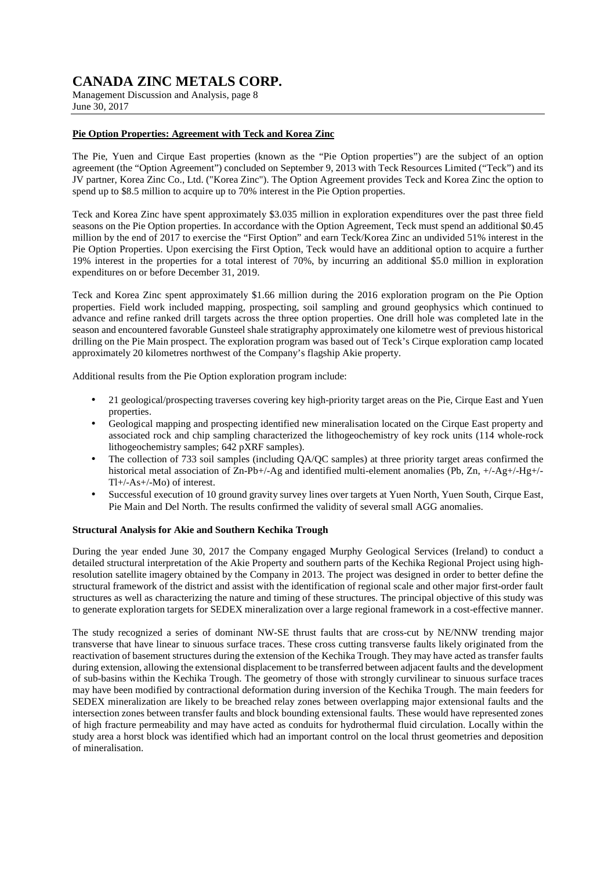Management Discussion and Analysis, page 8 June 30, 2017

### **Pie Option Properties: Agreement with Teck and Korea Zinc**

The Pie, Yuen and Cirque East properties (known as the "Pie Option properties") are the subject of an option agreement (the "Option Agreement") concluded on September 9, 2013 with Teck Resources Limited ("Teck") and its JV partner, Korea Zinc Co., Ltd. ("Korea Zinc"). The Option Agreement provides Teck and Korea Zinc the option to spend up to \$8.5 million to acquire up to 70% interest in the Pie Option properties.

Teck and Korea Zinc have spent approximately \$3.035 million in exploration expenditures over the past three field seasons on the Pie Option properties. In accordance with the Option Agreement, Teck must spend an additional \$0.45 million by the end of 2017 to exercise the "First Option" and earn Teck/Korea Zinc an undivided 51% interest in the Pie Option Properties. Upon exercising the First Option, Teck would have an additional option to acquire a further 19% interest in the properties for a total interest of 70%, by incurring an additional \$5.0 million in exploration expenditures on or before December 31, 2019.

Teck and Korea Zinc spent approximately \$1.66 million during the 2016 exploration program on the Pie Option properties. Field work included mapping, prospecting, soil sampling and ground geophysics which continued to advance and refine ranked drill targets across the three option properties. One drill hole was completed late in the season and encountered favorable Gunsteel shale stratigraphy approximately one kilometre west of previous historical drilling on the Pie Main prospect. The exploration program was based out of Teck's Cirque exploration camp located approximately 20 kilometres northwest of the Company's flagship Akie property.

Additional results from the Pie Option exploration program include:

- 21 geological/prospecting traverses covering key high-priority target areas on the Pie, Cirque East and Yuen properties.
- Geological mapping and prospecting identified new mineralisation located on the Cirque East property and associated rock and chip sampling characterized the lithogeochemistry of key rock units (114 whole-rock lithogeochemistry samples; 642 pXRF samples).
- The collection of 733 soil samples (including QA/QC samples) at three priority target areas confirmed the historical metal association of  $\overline{Z}n-Pb+/-Ag$  and identified multi-element anomalies (Pb,  $Zn$ ,  $+/-Ag+/-Hg+/-$ Tl+/-As+/-Mo) of interest.
- Successful execution of 10 ground gravity survey lines over targets at Yuen North, Yuen South, Cirque East, Pie Main and Del North. The results confirmed the validity of several small AGG anomalies.

### **Structural Analysis for Akie and Southern Kechika Trough**

During the year ended June 30, 2017 the Company engaged Murphy Geological Services (Ireland) to conduct a detailed structural interpretation of the Akie Property and southern parts of the Kechika Regional Project using highresolution satellite imagery obtained by the Company in 2013. The project was designed in order to better define the structural framework of the district and assist with the identification of regional scale and other major first-order fault structures as well as characterizing the nature and timing of these structures. The principal objective of this study was to generate exploration targets for SEDEX mineralization over a large regional framework in a cost-effective manner.

The study recognized a series of dominant NW-SE thrust faults that are cross-cut by NE/NNW trending major transverse that have linear to sinuous surface traces. These cross cutting transverse faults likely originated from the reactivation of basement structures during the extension of the Kechika Trough. They may have acted as transfer faults during extension, allowing the extensional displacement to be transferred between adjacent faults and the development of sub-basins within the Kechika Trough. The geometry of those with strongly curvilinear to sinuous surface traces may have been modified by contractional deformation during inversion of the Kechika Trough. The main feeders for SEDEX mineralization are likely to be breached relay zones between overlapping major extensional faults and the intersection zones between transfer faults and block bounding extensional faults. These would have represented zones of high fracture permeability and may have acted as conduits for hydrothermal fluid circulation. Locally within the study area a horst block was identified which had an important control on the local thrust geometries and deposition of mineralisation.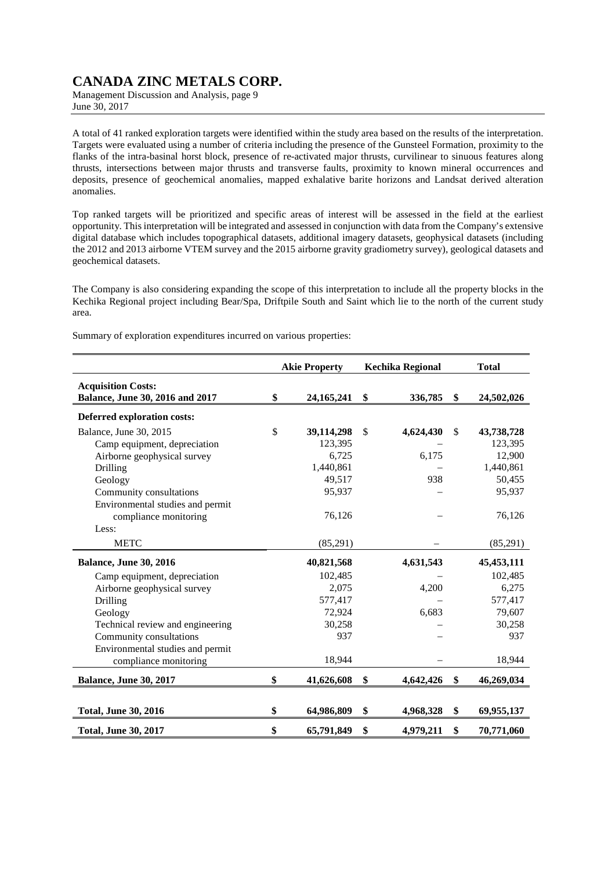Management Discussion and Analysis, page 9 June 30, 2017

A total of 41 ranked exploration targets were identified within the study area based on the results of the interpretation. Targets were evaluated using a number of criteria including the presence of the Gunsteel Formation, proximity to the flanks of the intra-basinal horst block, presence of re-activated major thrusts, curvilinear to sinuous features along thrusts, intersections between major thrusts and transverse faults, proximity to known mineral occurrences and deposits, presence of geochemical anomalies, mapped exhalative barite horizons and Landsat derived alteration anomalies.

Top ranked targets will be prioritized and specific areas of interest will be assessed in the field at the earliest opportunity. This interpretation will be integrated and assessed in conjunction with data from the Company's extensive digital database which includes topographical datasets, additional imagery datasets, geophysical datasets (including the 2012 and 2013 airborne VTEM survey and the 2015 airborne gravity gradiometry survey), geological datasets and geochemical datasets.

The Company is also considering expanding the scope of this interpretation to include all the property blocks in the Kechika Regional project including Bear/Spa, Driftpile South and Saint which lie to the north of the current study area.

Summary of exploration expenditures incurred on various properties:

|                                                              | <b>Akie Property</b> | <b>Kechika Regional</b> | <b>Total</b>     |
|--------------------------------------------------------------|----------------------|-------------------------|------------------|
| <b>Acquisition Costs:</b><br>Balance, June 30, 2016 and 2017 | \$<br>24, 165, 241   | \$<br>336,785           | \$<br>24,502,026 |
| <b>Deferred exploration costs:</b>                           |                      |                         |                  |
| Balance, June 30, 2015                                       | \$<br>39,114,298     | \$<br>4,624,430         | \$<br>43,738,728 |
| Camp equipment, depreciation                                 | 123,395              |                         | 123,395          |
| Airborne geophysical survey                                  | 6,725                | 6,175                   | 12,900           |
| Drilling                                                     | 1,440,861            |                         | 1,440,861        |
| Geology                                                      | 49,517               | 938                     | 50,455           |
| Community consultations                                      | 95,937               |                         | 95,937           |
| Environmental studies and permit                             |                      |                         |                  |
| compliance monitoring                                        | 76,126               |                         | 76,126           |
| Less:                                                        |                      |                         |                  |
| <b>METC</b>                                                  | (85,291)             |                         | (85,291)         |
| <b>Balance, June 30, 2016</b>                                | 40,821,568           | 4,631,543               | 45, 453, 111     |
| Camp equipment, depreciation                                 | 102,485              |                         | 102,485          |
| Airborne geophysical survey                                  | 2,075                | 4,200                   | 6,275            |
| Drilling                                                     | 577,417              |                         | 577,417          |
| Geology                                                      | 72,924               | 6,683                   | 79,607           |
| Technical review and engineering                             | 30,258               |                         | 30,258           |
| Community consultations                                      | 937                  |                         | 937              |
| Environmental studies and permit                             |                      |                         |                  |
| compliance monitoring                                        | 18,944               |                         | 18,944           |
| <b>Balance, June 30, 2017</b>                                | \$<br>41,626,608     | \$<br>4,642,426         | \$<br>46,269,034 |
|                                                              |                      |                         |                  |
| <b>Total, June 30, 2016</b>                                  | \$<br>64,986,809     | \$<br>4,968,328         | \$<br>69,955,137 |
| <b>Total, June 30, 2017</b>                                  | \$<br>65,791,849     | \$<br>4,979,211         | \$<br>70,771,060 |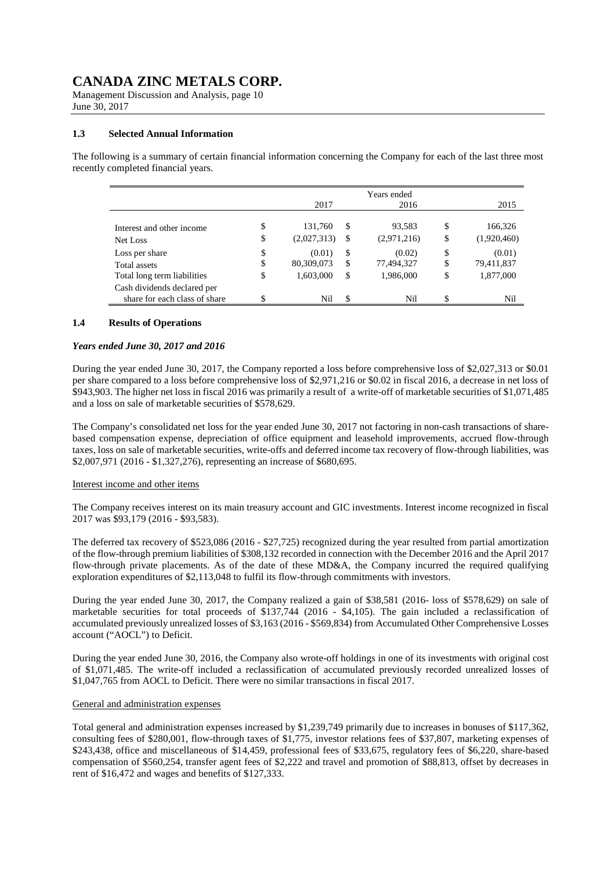Management Discussion and Analysis, page 10 June 30, 2017

#### **1.3 Selected Annual Information**

The following is a summary of certain financial information concerning the Company for each of the last three most recently completed financial years.

|                                                            |          | 2017                   |          | Years ended<br>2016   |          | 2015                   |
|------------------------------------------------------------|----------|------------------------|----------|-----------------------|----------|------------------------|
| Interest and other income<br>Net Loss                      | \$<br>\$ | 131,760<br>(2,027,313) | \$<br>\$ | 93,583<br>(2,971,216) | \$<br>\$ | 166,326<br>(1,920,460) |
| Loss per share<br>Total assets                             | \$<br>\$ | (0.01)<br>80,309,073   | \$<br>\$ | (0.02)<br>77,494,327  | \$<br>\$ | (0.01)<br>79,411,837   |
| Total long term liabilities<br>Cash dividends declared per | \$       | 1,603,000              | \$       | 1,986,000             | \$       | 1,877,000              |
| share for each class of share                              | \$       | Nil                    | \$.      | Nil                   | \$       | Ni1                    |

#### **1.4 Results of Operations**

#### *Years ended June 30, 2017 and 2016*

During the year ended June 30, 2017, the Company reported a loss before comprehensive loss of \$2,027,313 or \$0.01 per share compared to a loss before comprehensive loss of \$2,971,216 or \$0.02 in fiscal 2016, a decrease in net loss of \$943,903. The higher net loss in fiscal 2016 was primarily a result of a write-off of marketable securities of \$1,071,485 and a loss on sale of marketable securities of \$578,629.

The Company's consolidated net loss for the year ended June 30, 2017 not factoring in non-cash transactions of sharebased compensation expense, depreciation of office equipment and leasehold improvements, accrued flow-through taxes, loss on sale of marketable securities, write-offs and deferred income tax recovery of flow-through liabilities, was \$2,007,971 (2016 - \$1,327,276), representing an increase of \$680,695.

#### Interest income and other items

The Company receives interest on its main treasury account and GIC investments. Interest income recognized in fiscal 2017 was \$93,179 (2016 - \$93,583).

The deferred tax recovery of \$523,086 (2016 - \$27,725) recognized during the year resulted from partial amortization of the flow-through premium liabilities of \$308,132 recorded in connection with the December 2016 and the April 2017 flow-through private placements. As of the date of these MD&A, the Company incurred the required qualifying exploration expenditures of \$2,113,048 to fulfil its flow-through commitments with investors.

During the year ended June 30, 2017, the Company realized a gain of \$38,581 (2016- loss of \$578,629) on sale of marketable securities for total proceeds of \$137,744 (2016 - \$4,105). The gain included a reclassification of accumulated previously unrealized losses of \$3,163 (2016 - \$569,834) from Accumulated Other Comprehensive Losses account ("AOCL") to Deficit.

During the year ended June 30, 2016, the Company also wrote-off holdings in one of its investments with original cost of \$1,071,485. The write-off included a reclassification of accumulated previously recorded unrealized losses of \$1,047,765 from AOCL to Deficit. There were no similar transactions in fiscal 2017.

#### General and administration expenses

Total general and administration expenses increased by \$1,239,749 primarily due to increases in bonuses of \$117,362, consulting fees of \$280,001, flow-through taxes of \$1,775, investor relations fees of \$37,807, marketing expenses of \$243,438, office and miscellaneous of \$14,459, professional fees of \$33,675, regulatory fees of \$6,220, share-based compensation of \$560,254, transfer agent fees of \$2,222 and travel and promotion of \$88,813, offset by decreases in rent of \$16,472 and wages and benefits of \$127,333.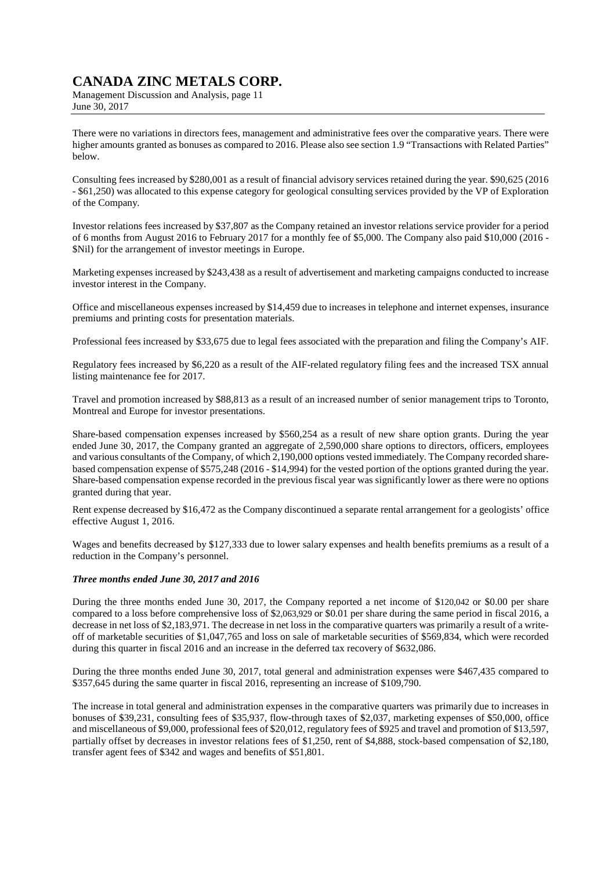Management Discussion and Analysis, page 11 June 30, 2017

There were no variations in directors fees, management and administrative fees over the comparative years. There were higher amounts granted as bonuses as compared to 2016. Please also see section 1.9 "Transactions with Related Parties" below.

Consulting fees increased by \$280,001 as a result of financial advisory services retained during the year. \$90,625 (2016 - \$61,250) was allocated to this expense category for geological consulting services provided by the VP of Exploration of the Company.

Investor relations fees increased by \$37,807 as the Company retained an investor relations service provider for a period of 6 months from August 2016 to February 2017 for a monthly fee of \$5,000. The Company also paid \$10,000 (2016 - \$Nil) for the arrangement of investor meetings in Europe.

Marketing expenses increased by \$243,438 as a result of advertisement and marketing campaigns conducted to increase investor interest in the Company.

Office and miscellaneous expenses increased by \$14,459 due to increases in telephone and internet expenses, insurance premiums and printing costs for presentation materials.

Professional fees increased by \$33,675 due to legal fees associated with the preparation and filing the Company's AIF.

Regulatory fees increased by \$6,220 as a result of the AIF-related regulatory filing fees and the increased TSX annual listing maintenance fee for 2017.

Travel and promotion increased by \$88,813 as a result of an increased number of senior management trips to Toronto, Montreal and Europe for investor presentations.

Share-based compensation expenses increased by \$560,254 as a result of new share option grants. During the year ended June 30, 2017, the Company granted an aggregate of 2,590,000 share options to directors, officers, employees and various consultants of the Company, of which 2,190,000 options vested immediately. The Company recorded sharebased compensation expense of \$575,248 (2016 - \$14,994) for the vested portion of the options granted during the year. Share-based compensation expense recorded in the previous fiscal year was significantly lower as there were no options granted during that year.

Rent expense decreased by \$16,472 as the Company discontinued a separate rental arrangement for a geologists' office effective August 1, 2016.

Wages and benefits decreased by \$127,333 due to lower salary expenses and health benefits premiums as a result of a reduction in the Company's personnel.

### *Three months ended June 30, 2017 and 2016*

During the three months ended June 30, 2017, the Company reported a net income of \$120,042 or \$0.00 per share compared to a loss before comprehensive loss of \$2,063,929 or \$0.01 per share during the same period in fiscal 2016, a decrease in net loss of \$2,183,971. The decrease in net loss in the comparative quarters was primarily a result of a writeoff of marketable securities of \$1,047,765 and loss on sale of marketable securities of \$569,834, which were recorded during this quarter in fiscal 2016 and an increase in the deferred tax recovery of \$632,086.

During the three months ended June 30, 2017, total general and administration expenses were \$467,435 compared to \$357,645 during the same quarter in fiscal 2016, representing an increase of \$109,790.

The increase in total general and administration expenses in the comparative quarters was primarily due to increases in bonuses of \$39,231, consulting fees of \$35,937, flow-through taxes of \$2,037, marketing expenses of \$50,000, office and miscellaneous of \$9,000, professional fees of \$20,012, regulatory fees of \$925 and travel and promotion of \$13,597, partially offset by decreases in investor relations fees of \$1,250, rent of \$4,888, stock-based compensation of \$2,180, transfer agent fees of \$342 and wages and benefits of \$51,801.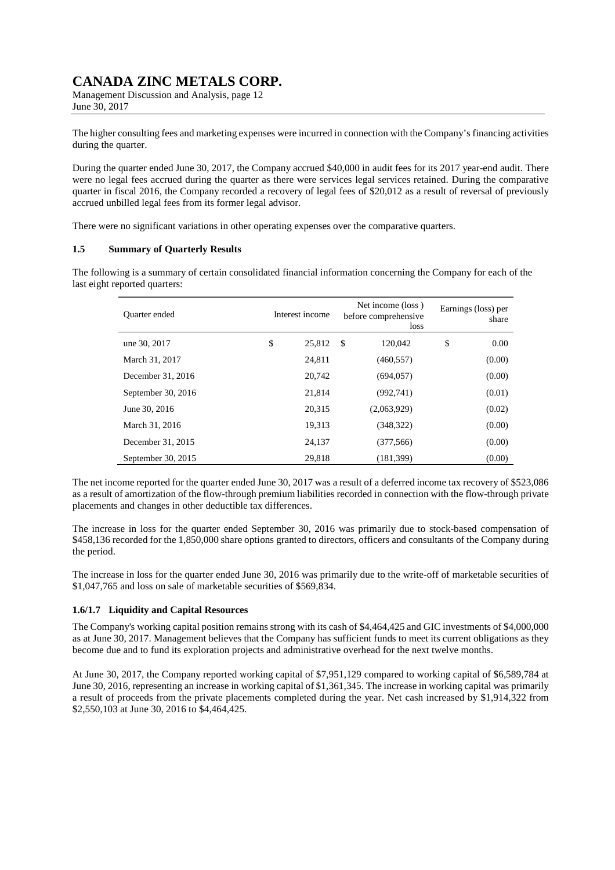Management Discussion and Analysis, page 12 June 30, 2017

The higher consulting fees and marketing expenses were incurred in connection with the Company's financing activities during the quarter.

During the quarter ended June 30, 2017, the Company accrued \$40,000 in audit fees for its 2017 year-end audit. There were no legal fees accrued during the quarter as there were services legal services retained. During the comparative quarter in fiscal 2016, the Company recorded a recovery of legal fees of \$20,012 as a result of reversal of previously accrued unbilled legal fees from its former legal advisor.

There were no significant variations in other operating expenses over the comparative quarters.

### **1.5 Summary of Quarterly Results**

The following is a summary of certain consolidated financial information concerning the Company for each of the last eight reported quarters:

| <b>Ouarter</b> ended | Interest income |        | Net income (loss)<br>before comprehensive<br>loss |             | Earnings (loss) per<br>share |        |
|----------------------|-----------------|--------|---------------------------------------------------|-------------|------------------------------|--------|
| une 30, 2017         | \$              | 25,812 | $\mathbb{S}$                                      | 120,042     | \$                           | 0.00   |
| March 31, 2017       |                 | 24,811 |                                                   | (460, 557)  |                              | (0.00) |
| December 31, 2016    |                 | 20.742 |                                                   | (694, 057)  |                              | (0.00) |
| September 30, 2016   |                 | 21.814 |                                                   | (992,741)   |                              | (0.01) |
| June 30, 2016        |                 | 20,315 |                                                   | (2,063,929) |                              | (0.02) |
| March 31, 2016       |                 | 19,313 |                                                   | (348, 322)  |                              | (0.00) |
| December 31, 2015    |                 | 24.137 |                                                   | (377, 566)  |                              | (0.00) |
| September 30, 2015   |                 | 29,818 |                                                   | (181, 399)  |                              | (0.00) |

The net income reported for the quarter ended June 30, 2017 was a result of a deferred income tax recovery of \$523,086 as a result of amortization of the flow-through premium liabilities recorded in connection with the flow-through private placements and changes in other deductible tax differences.

The increase in loss for the quarter ended September 30, 2016 was primarily due to stock-based compensation of \$458,136 recorded for the 1,850,000 share options granted to directors, officers and consultants of the Company during the period.

The increase in loss for the quarter ended June 30, 2016 was primarily due to the write-off of marketable securities of \$1,047,765 and loss on sale of marketable securities of \$569,834.

### **1.6/1.7 Liquidity and Capital Resources**

The Company's working capital position remains strong with its cash of \$4,464,425 and GIC investments of \$4,000,000 as at June 30, 2017. Management believes that the Company has sufficient funds to meet its current obligations as they become due and to fund its exploration projects and administrative overhead for the next twelve months.

At June 30, 2017, the Company reported working capital of \$7,951,129 compared to working capital of \$6,589,784 at June 30, 2016, representing an increase in working capital of \$1,361,345. The increase in working capital was primarily a result of proceeds from the private placements completed during the year. Net cash increased by \$1,914,322 from \$2,550,103 at June 30, 2016 to \$4,464,425.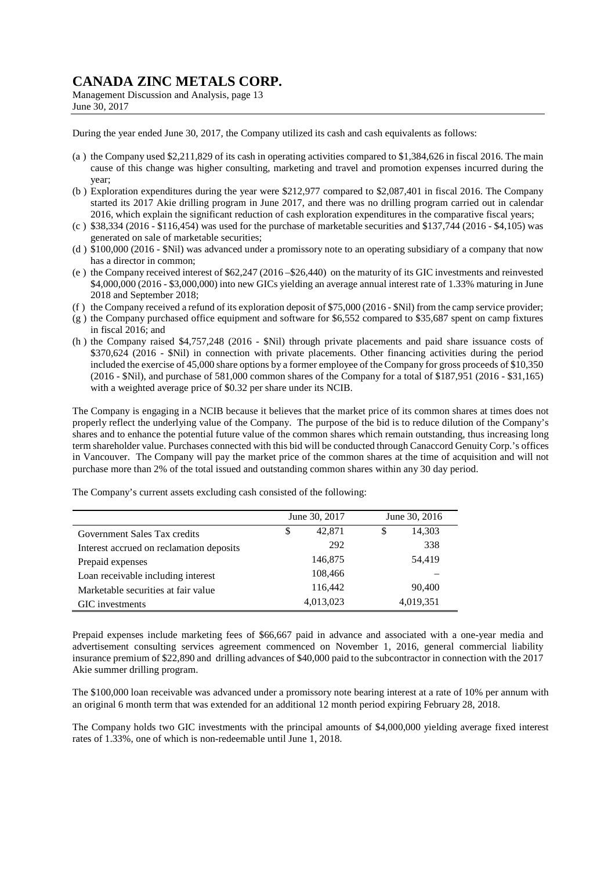Management Discussion and Analysis, page 13 June 30, 2017

During the year ended June 30, 2017, the Company utilized its cash and cash equivalents as follows:

- (a ) the Company used \$2,211,829 of its cash in operating activities compared to \$1,384,626 in fiscal 2016. The main cause of this change was higher consulting, marketing and travel and promotion expenses incurred during the year;
- (b ) Exploration expenditures during the year were \$212,977 compared to \$2,087,401 in fiscal 2016. The Company started its 2017 Akie drilling program in June 2017, and there was no drilling program carried out in calendar 2016, which explain the significant reduction of cash exploration expenditures in the comparative fiscal years;
- (c)  $\$38,334$  (2016 \$116,454) was used for the purchase of marketable securities and \$137,744 (2016 \$4,105) was generated on sale of marketable securities;
- (d ) \$100,000 (2016 \$Nil) was advanced under a promissory note to an operating subsidiary of a company that now has a director in common;
- (e ) the Company received interest of \$62,247 (2016 –\$26,440) on the maturity of its GIC investments and reinvested \$4,000,000 (2016 - \$3,000,000) into new GICs yielding an average annual interest rate of 1.33% maturing in June 2018 and September 2018;
- (f ) the Company received a refund of its exploration deposit of \$75,000 (2016 \$Nil) from the camp service provider;
- (g ) the Company purchased office equipment and software for \$6,552 compared to \$35,687 spent on camp fixtures in fiscal 2016; and
- (h ) the Company raised \$4,757,248 (2016 \$Nil) through private placements and paid share issuance costs of \$370,624 (2016 - \$Nil) in connection with private placements. Other financing activities during the period included the exercise of 45,000 share options by a former employee of the Company for gross proceeds of \$10,350 (2016 - \$Nil), and purchase of 581,000 common shares of the Company for a total of \$187,951 (2016 - \$31,165) with a weighted average price of \$0.32 per share under its NCIB.

The Company is engaging in a NCIB because it believes that the market price of its common shares at times does not properly reflect the underlying value of the Company. The purpose of the bid is to reduce dilution of the Company's shares and to enhance the potential future value of the common shares which remain outstanding, thus increasing long term shareholder value. Purchases connected with this bid will be conducted through Canaccord Genuity Corp.'s offices in Vancouver. The Company will pay the market price of the common shares at the time of acquisition and will not purchase more than 2% of the total issued and outstanding common shares within any 30 day period.

|                                          | June 30, 2017 | June 30, 2016 |
|------------------------------------------|---------------|---------------|
| Government Sales Tax credits             | \$<br>42,871  | \$<br>14,303  |
| Interest accrued on reclamation deposits | 292           | 338           |
| Prepaid expenses                         | 146,875       | 54,419        |
| Loan receivable including interest       | 108,466       |               |
| Marketable securities at fair value      | 116,442       | 90,400        |
| GIC investments                          | 4,013,023     | 4,019,351     |

The Company's current assets excluding cash consisted of the following:

Prepaid expenses include marketing fees of \$66,667 paid in advance and associated with a one-year media and advertisement consulting services agreement commenced on November 1, 2016, general commercial liability insurance premium of \$22,890 and drilling advances of \$40,000 paid to the subcontractor in connection with the 2017 Akie summer drilling program.

The \$100,000 loan receivable was advanced under a promissory note bearing interest at a rate of 10% per annum with an original 6 month term that was extended for an additional 12 month period expiring February 28, 2018.

The Company holds two GIC investments with the principal amounts of \$4,000,000 yielding average fixed interest rates of 1.33%, one of which is non-redeemable until June 1, 2018.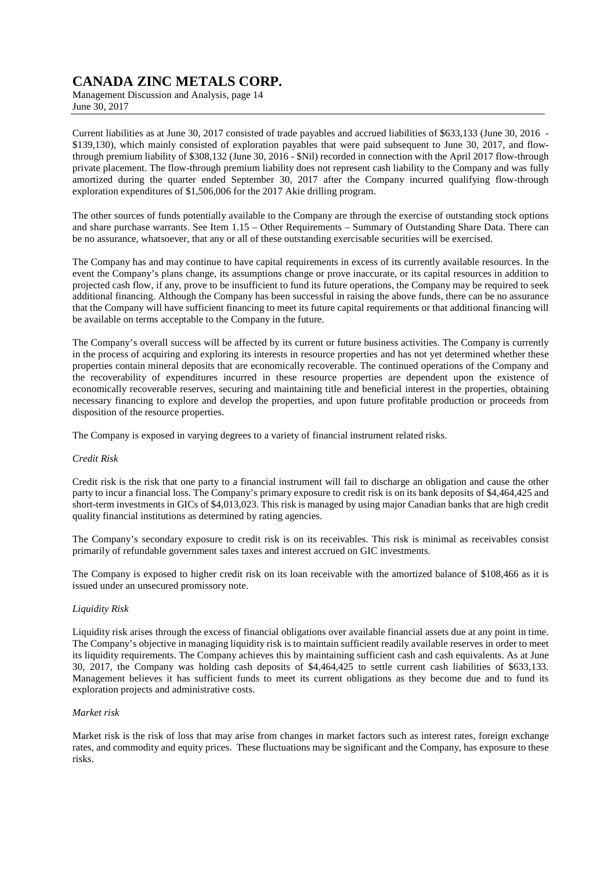Management Discussion and Analysis, page 14 June 30, 2017

Current liabilities as at June 30, 2017 consisted of trade payables and accrued liabilities of \$633,133 (June 30, 2016 - \$139,130), which mainly consisted of exploration payables that were paid subsequent to June 30, 2017, and flowthrough premium liability of \$308,132 (June 30, 2016 - \$Nil) recorded in connection with the April 2017 flow-through private placement. The flow-through premium liability does not represent cash liability to the Company and was fully amortized during the quarter ended September 30, 2017 after the Company incurred qualifying flow-through exploration expenditures of \$1,506,006 for the 2017 Akie drilling program.

The other sources of funds potentially available to the Company are through the exercise of outstanding stock options and share purchase warrants. See Item 1.15 – Other Requirements – Summary of Outstanding Share Data. There can be no assurance, whatsoever, that any or all of these outstanding exercisable securities will be exercised.

The Company has and may continue to have capital requirements in excess of its currently available resources. In the event the Company's plans change, its assumptions change or prove inaccurate, or its capital resources in addition to projected cash flow, if any, prove to be insufficient to fund its future operations, the Company may be required to seek additional financing. Although the Company has been successful in raising the above funds, there can be no assurance that the Company will have sufficient financing to meet its future capital requirements or that additional financing will be available on terms acceptable to the Company in the future.

The Company's overall success will be affected by its current or future business activities. The Company is currently in the process of acquiring and exploring its interests in resource properties and has not yet determined whether these properties contain mineral deposits that are economically recoverable. The continued operations of the Company and the recoverability of expenditures incurred in these resource properties are dependent upon the existence of economically recoverable reserves, securing and maintaining title and beneficial interest in the properties, obtaining necessary financing to explore and develop the properties, and upon future profitable production or proceeds from disposition of the resource properties.

The Company is exposed in varying degrees to a variety of financial instrument related risks.

#### *Credit Risk*

Credit risk is the risk that one party to a financial instrument will fail to discharge an obligation and cause the other party to incur a financial loss. The Company's primary exposure to credit risk is on its bank deposits of \$4,464,425 and short-term investments in GICs of \$4,013,023. This risk is managed by using major Canadian banks that are high credit quality financial institutions as determined by rating agencies.

The Company's secondary exposure to credit risk is on its receivables. This risk is minimal as receivables consist primarily of refundable government sales taxes and interest accrued on GIC investments.

The Company is exposed to higher credit risk on its loan receivable with the amortized balance of \$108,466 as it is issued under an unsecured promissory note.

### *Liquidity Risk*

Liquidity risk arises through the excess of financial obligations over available financial assets due at any point in time. The Company's objective in managing liquidity risk is to maintain sufficient readily available reserves in order to meet its liquidity requirements. The Company achieves this by maintaining sufficient cash and cash equivalents. As at June 30, 2017, the Company was holding cash deposits of \$4,464,425 to settle current cash liabilities of \$633,133. Management believes it has sufficient funds to meet its current obligations as they become due and to fund its exploration projects and administrative costs.

#### *Market risk*

Market risk is the risk of loss that may arise from changes in market factors such as interest rates, foreign exchange rates, and commodity and equity prices. These fluctuations may be significant and the Company, has exposure to these risks.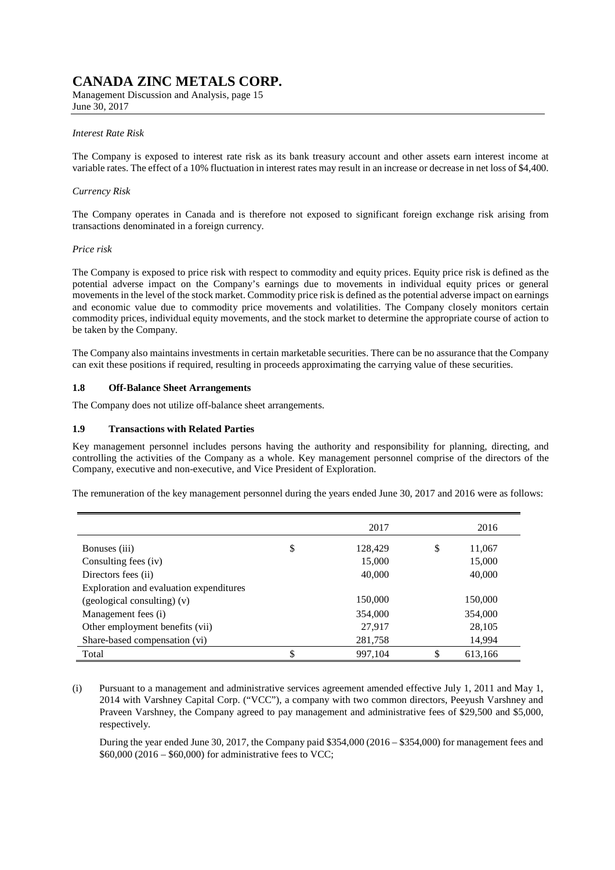Management Discussion and Analysis, page 15 June 30, 2017

#### *Interest Rate Risk*

The Company is exposed to interest rate risk as its bank treasury account and other assets earn interest income at variable rates. The effect of a 10% fluctuation in interest rates may result in an increase or decrease in net loss of \$4,400.

#### *Currency Risk*

The Company operates in Canada and is therefore not exposed to significant foreign exchange risk arising from transactions denominated in a foreign currency.

#### *Price risk*

The Company is exposed to price risk with respect to commodity and equity prices. Equity price risk is defined as the potential adverse impact on the Company's earnings due to movements in individual equity prices or general movements in the level of the stock market. Commodity price risk is defined as the potential adverse impact on earnings and economic value due to commodity price movements and volatilities. The Company closely monitors certain commodity prices, individual equity movements, and the stock market to determine the appropriate course of action to be taken by the Company.

The Company also maintains investments in certain marketable securities. There can be no assurance that the Company can exit these positions if required, resulting in proceeds approximating the carrying value of these securities.

#### **1.8 Off-Balance Sheet Arrangements**

The Company does not utilize off-balance sheet arrangements.

#### **1.9 Transactions with Related Parties**

Key management personnel includes persons having the authority and responsibility for planning, directing, and controlling the activities of the Company as a whole. Key management personnel comprise of the directors of the Company, executive and non-executive, and Vice President of Exploration.

The remuneration of the key management personnel during the years ended June 30, 2017 and 2016 were as follows:

|                                         | 2017          | 2016          |
|-----------------------------------------|---------------|---------------|
| Bonuses (iii)                           | \$<br>128,429 | \$<br>11,067  |
| Consulting fees (iv)                    | 15,000        | 15,000        |
| Directors fees (ii)                     | 40,000        | 40,000        |
| Exploration and evaluation expenditures |               |               |
| (geological consulting) (v)             | 150,000       | 150,000       |
| Management fees (i)                     | 354,000       | 354,000       |
| Other employment benefits (vii)         | 27,917        | 28,105        |
| Share-based compensation (vi)           | 281,758       | 14,994        |
| Total                                   | \$<br>997.104 | \$<br>613,166 |

(i) Pursuant to a management and administrative services agreement amended effective July 1, 2011 and May 1, 2014 with Varshney Capital Corp. ("VCC"), a company with two common directors, Peeyush Varshney and Praveen Varshney, the Company agreed to pay management and administrative fees of \$29,500 and \$5,000, respectively.

During the year ended June 30, 2017, the Company paid \$354,000 (2016 – \$354,000) for management fees and  $$60,000 (2016 - $60,000)$  for administrative fees to VCC;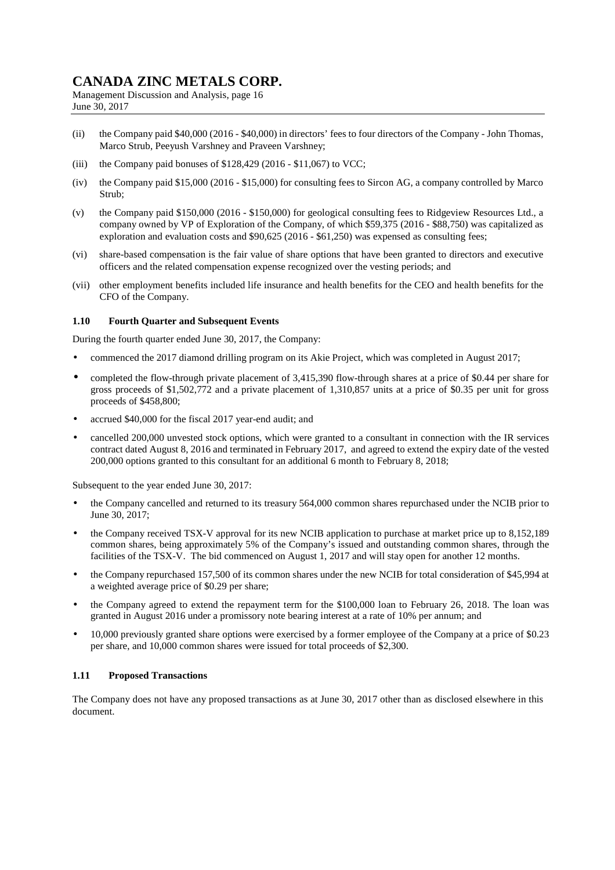Management Discussion and Analysis, page 16 June 30, 2017

- (ii) the Company paid \$40,000 (2016 \$40,000) in directors' fees to four directors of the Company John Thomas, Marco Strub, Peeyush Varshney and Praveen Varshney;
- (iii) the Company paid bonuses of \$128,429 (2016 \$11,067) to VCC;
- (iv) the Company paid \$15,000 (2016 \$15,000) for consulting fees to Sircon AG, a company controlled by Marco Strub;
- (v) the Company paid \$150,000 (2016 \$150,000) for geological consulting fees to Ridgeview Resources Ltd., a company owned by VP of Exploration of the Company, of which \$59,375 (2016 - \$88,750) was capitalized as exploration and evaluation costs and \$90,625 (2016 - \$61,250) was expensed as consulting fees;
- (vi) share-based compensation is the fair value of share options that have been granted to directors and executive officers and the related compensation expense recognized over the vesting periods; and
- (vii) other employment benefits included life insurance and health benefits for the CEO and health benefits for the CFO of the Company.

### **1.10 Fourth Quarter and Subsequent Events**

During the fourth quarter ended June 30, 2017, the Company:

- commenced the 2017 diamond drilling program on its Akie Project, which was completed in August 2017;
- completed the flow-through private placement of 3,415,390 flow-through shares at a price of \$0.44 per share for gross proceeds of \$1,502,772 and a private placement of 1,310,857 units at a price of \$0.35 per unit for gross proceeds of \$458,800;
- accrued \$40,000 for the fiscal 2017 year-end audit; and
- cancelled 200,000 unvested stock options, which were granted to a consultant in connection with the IR services contract dated August 8, 2016 and terminated in February 2017, and agreed to extend the expiry date of the vested 200,000 options granted to this consultant for an additional 6 month to February 8, 2018;

Subsequent to the year ended June 30, 2017:

- the Company cancelled and returned to its treasury 564,000 common shares repurchased under the NCIB prior to June 30, 2017;
- the Company received TSX-V approval for its new NCIB application to purchase at market price up to 8,152,189 common shares, being approximately 5% of the Company's issued and outstanding common shares, through the facilities of the TSX-V. The bid commenced on August 1, 2017 and will stay open for another 12 months.
- the Company repurchased 157,500 of its common shares under the new NCIB for total consideration of \$45,994 at a weighted average price of \$0.29 per share;
- the Company agreed to extend the repayment term for the \$100,000 loan to February 26, 2018. The loan was granted in August 2016 under a promissory note bearing interest at a rate of 10% per annum; and
- 10,000 previously granted share options were exercised by a former employee of the Company at a price of \$0.23 per share, and 10,000 common shares were issued for total proceeds of \$2,300.

### **1.11 Proposed Transactions**

The Company does not have any proposed transactions as at June 30, 2017 other than as disclosed elsewhere in this document.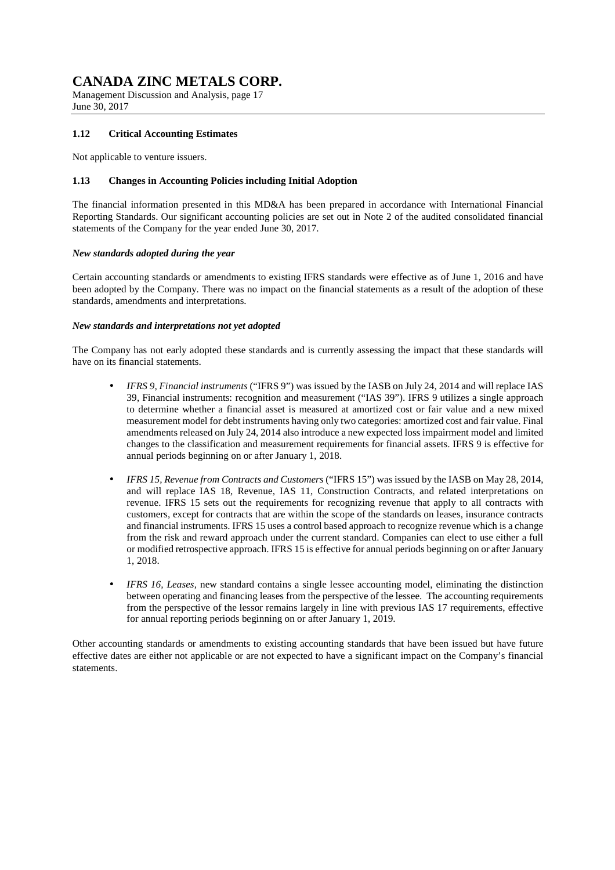Management Discussion and Analysis, page 17 June 30, 2017

### **1.12 Critical Accounting Estimates**

Not applicable to venture issuers.

### **1.13 Changes in Accounting Policies including Initial Adoption**

The financial information presented in this MD&A has been prepared in accordance with International Financial Reporting Standards. Our significant accounting policies are set out in Note 2 of the audited consolidated financial statements of the Company for the year ended June 30, 2017.

#### *New standards adopted during the year*

Certain accounting standards or amendments to existing IFRS standards were effective as of June 1, 2016 and have been adopted by the Company. There was no impact on the financial statements as a result of the adoption of these standards, amendments and interpretations.

#### *New standards and interpretations not yet adopted*

The Company has not early adopted these standards and is currently assessing the impact that these standards will have on its financial statements.

- *IFRS 9, Financial instruments* ("IFRS 9") was issued by the IASB on July 24, 2014 and will replace IAS 39, Financial instruments: recognition and measurement ("IAS 39"). IFRS 9 utilizes a single approach to determine whether a financial asset is measured at amortized cost or fair value and a new mixed measurement model for debt instruments having only two categories: amortized cost and fair value. Final amendments released on July 24, 2014 also introduce a new expected loss impairment model and limited changes to the classification and measurement requirements for financial assets. IFRS 9 is effective for annual periods beginning on or after January 1, 2018.
- *IFRS 15, Revenue from Contracts and Customers* ("IFRS 15") was issued by the IASB on May 28, 2014, and will replace IAS 18, Revenue, IAS 11, Construction Contracts, and related interpretations on revenue. IFRS 15 sets out the requirements for recognizing revenue that apply to all contracts with customers, except for contracts that are within the scope of the standards on leases, insurance contracts and financial instruments. IFRS 15 uses a control based approach to recognize revenue which is a change from the risk and reward approach under the current standard. Companies can elect to use either a full or modified retrospective approach. IFRS 15 is effective for annual periods beginning on or after January 1, 2018.
- *IFRS 16, Leases,* new standard contains a single lessee accounting model, eliminating the distinction between operating and financing leases from the perspective of the lessee. The accounting requirements from the perspective of the lessor remains largely in line with previous IAS 17 requirements, effective for annual reporting periods beginning on or after January 1, 2019.

Other accounting standards or amendments to existing accounting standards that have been issued but have future effective dates are either not applicable or are not expected to have a significant impact on the Company's financial statements.